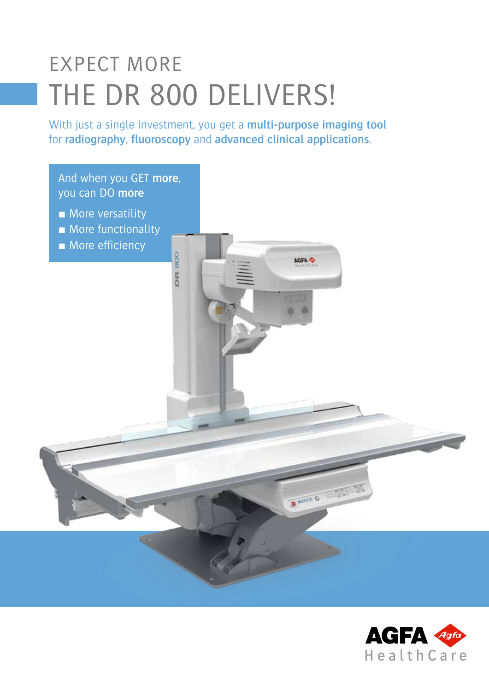# EXPECT MORE THE DR 800 DELIVERS!

With just a single investment, you get a **multi-purpose imaging tool**  for **radiography**, **fluoroscopy** and **advanced clinical applications**.